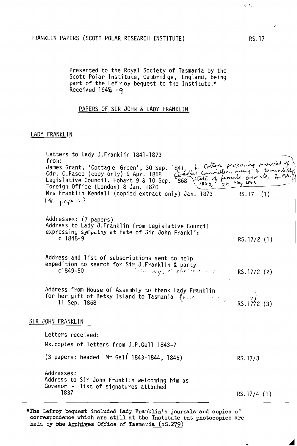## FRANKLIN PAPERS (SCOTT POLAR RESEARCH INSTITUTE)

Presented to the Royal Society of Tasmania by the Scott Polar Institute, Cambrid ge, England, being part of the Lef r oy bequest to the Institute.\* Received  $194\frac{1}{2} - q$ 

## PAPERS OF SIR JOHN & LADY FRANKLIN

## LADY FRANKLIN

Letters to Lady J.Franklin 1841-1873<br>from: from:<br>from: ... Integration of the Green ', 30 Sep. 1841, h Cotton proposing revived of<br>Cdr. C.Pasco (copy only) 9 Apr. 1858 <u>Locolie: Committee</u>, overing to tementally) Legislative Council, Hobart 9 & 10 Sep. 1868 (Level Commuse, mong with,<br>Legislative Council, Hobart 9 & 10 Sep. 1868 State of female converts, Legislative Council, Hobart 9 & 10 Sep. 1868 State of female converts, 4.50.<br>Foreign Office (London) 8 Jan. 1870 Mrs Franklin Kendall (copied extract only) Jan. 1873 RS.17 (1)  $(8 - p c_1 e^{c_1 s})$ Addresses: (7 papers) Address to Lady J.Franklin from Legislative Council expressing sympathy at fate of Sir John Franklin c 1848-9 Address and list of subscriptions sent to help expedition to search for Sir J.Franklin & party<br>c1849-50 Address from House of Assembly to thank Lady Franklin for her gift of Betsy Island to Tasmania  $\{k \mid n_i\}$ 11 Sep. 1868 SIR JOHN FRANKLIN Letters received: Ms.copies of letters from J.P.Gell 1843-7 , (3 papers: headed 'Mr Gell 1843-1844, 1845) Addresses: Address to Sir John Franklin welcoming him as Govenor - list of signatures attached 1837 RS. 17/2 (1)  $R$ S. 17/2 (2)  $\mathbf{r} = \begin{bmatrix} 1 & 1 \\ 1 & 1 \end{bmatrix}$ RS.  $1772$  (3) RS. 17/3 RS. 17/4 (1)

\*The Lefroy bequest included Lady Franklin's journals and copies of correspondence which are still at the Institute but photocopies are held by the Archives Office of Tasmania (NS.279)

RS.17

 $\epsilon, I$  .